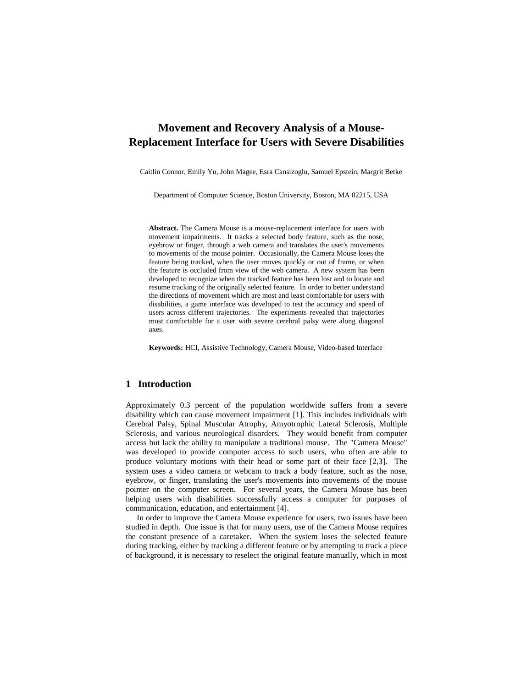# **Movement and Recovery Analysis of a Mouse-Replacement Interface for Users with Severe Disabilities**

Caitlin Connor, Emily Yu, John Magee, Esra Cansizoglu, Samuel Epstein, Margrit Betke

Department of Computer Science, Boston University, Boston, MA 02215, USA

**Abstract.** The Camera Mouse is a mouse-replacement interface for users with movement impairments. It tracks a selected body feature, such as the nose, eyebrow or finger, through a web camera and translates the user's movements to movements of the mouse pointer. Occasionally, the Camera Mouse loses the feature being tracked, when the user moves quickly or out of frame, or when the feature is occluded from view of the web camera. A new system has been developed to recognize when the tracked feature has been lost and to locate and resume tracking of the originally selected feature. In order to better understand the directions of movement which are most and least comfortable for users with disabilities, a game interface was developed to test the accuracy and speed of users across different trajectories. The experiments revealed that trajectories most comfortable for a user with severe cerebral palsy were along diagonal axes.

**Keywords:** HCI, Assistive Technology, Camera Mouse, Video-based Interface

## **1 Introduction**

Approximately 0.3 percent of the population worldwide suffers from a severe disability which can cause movement impairment [1]. This includes individuals with Cerebral Palsy, Spinal Muscular Atrophy, Amyotrophic Lateral Sclerosis, Multiple Sclerosis, and various neurological disorders. They would benefit from computer access but lack the ability to manipulate a traditional mouse. The "Camera Mouse" was developed to provide computer access to such users, who often are able to produce voluntary motions with their head or some part of their face [2,3]. The system uses a video camera or webcam to track a body feature, such as the nose, eyebrow, or finger, translating the user's movements into movements of the mouse pointer on the computer screen. For several years, the Camera Mouse has been helping users with disabilities successfully access a computer for purposes of communication, education, and entertainment [4].

In order to improve the Camera Mouse experience for users, two issues have been studied in depth. One issue is that for many users, use of the Camera Mouse requires the constant presence of a caretaker. When the system loses the selected feature during tracking, either by tracking a different feature or by attempting to track a piece of background, it is necessary to reselect the original feature manually, which in most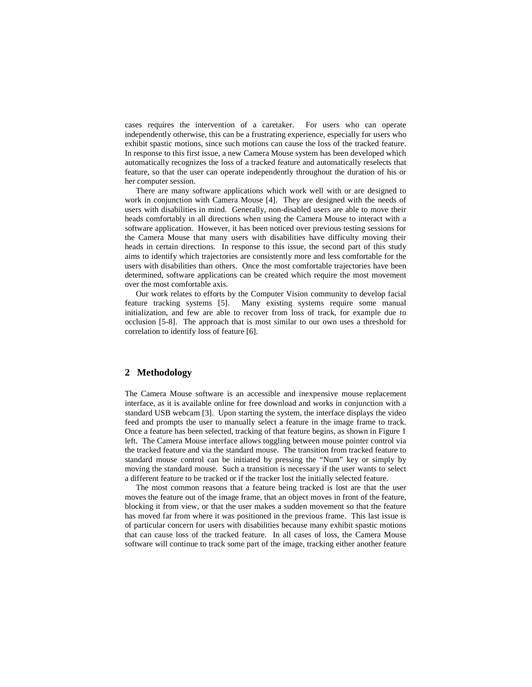cases requires the intervention of a caretaker. For users who can operate independently otherwise, this can be a frustrating experience, especially for users who exhibit spastic motions, since such motions can cause the loss of the tracked feature. In response to this first issue, a new Camera Mouse system has been developed which automatically recognizes the loss of a tracked feature and automatically reselects that feature, so that the user can operate independently throughout the duration of his or her computer session.

There are many software applications which work well with or are designed to work in conjunction with Camera Mouse [4]. They are designed with the needs of users with disabilities in mind. Generally, non-disabled users are able to move their heads comfortably in all directions when using the Camera Mouse to interact with a software application. However, it has been noticed over previous testing sessions for the Camera Mouse that many users with disabilities have difficulty moving their heads in certain directions. In response to this issue, the second part of this study aims to identify which trajectories are consistently more and less comfortable for the users with disabilities than others. Once the most comfortable trajectories have been determined, software applications can be created which require the most movement over the most comfortable axis.

Our work relates to efforts by the Computer Vision community to develop facial feature tracking systems [5]. Many existing systems require some manual initialization, and few are able to recover from loss of track, for example due to occlusion [5-8]. The approach that is most similar to our own uses a threshold for correlation to identify loss of feature [6].

### **2 Methodology**

The Camera Mouse software is an accessible and inexpensive mouse replacement interface, as it is available online for free download and works in conjunction with a standard USB webcam [3]. Upon starting the system, the interface displays the video feed and prompts the user to manually select a feature in the image frame to track. Once a feature has been selected, tracking of that feature begins, as shown in Figure 1 left. The Camera Mouse interface allows toggling between mouse pointer control via the tracked feature and via the standard mouse. The transition from tracked feature to standard mouse control can be initiated by pressing the "Num" key or simply by moving the standard mouse. Such a transition is necessary if the user wants to select a different feature to be tracked or if the tracker lost the initially selected feature.

The most common reasons that a feature being tracked is lost are that the user moves the feature out of the image frame, that an object moves in front of the feature, blocking it from view, or that the user makes a sudden movement so that the feature has moved far from where it was positioned in the previous frame. This last issue is of particular concern for users with disabilities because many exhibit spastic motions that can cause loss of the tracked feature. In all cases of loss, the Camera Mouse software will continue to track some part of the image, tracking either another feature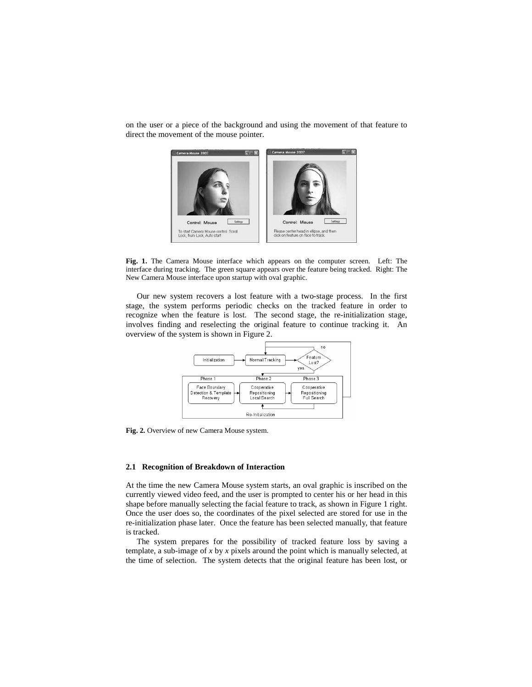on the user or a piece of the background and using the movement of that feature to direct the movement of the mouse pointer.



**Fig. 1.** The Camera Mouse interface which appears on the computer screen. Left: The interface during tracking. The green square appears over the feature being tracked. Right: The New Camera Mouse interface upon startup with oval graphic.

Our new system recovers a lost feature with a two-stage process. In the first stage, the system performs periodic checks on the tracked feature in order to recognize when the feature is lost. The second stage, the re-initialization stage, involves finding and reselecting the original feature to continue tracking it. An overview of the system is shown in Figure 2.



**Fig. 2.** Overview of new Camera Mouse system.

#### **2.1 Recognition of Breakdown of Interaction**

At the time the new Camera Mouse system starts, an oval graphic is inscribed on the currently viewed video feed, and the user is prompted to center his or her head in this shape before manually selecting the facial feature to track, as shown in Figure 1 right. Once the user does so, the coordinates of the pixel selected are stored for use in the re-initialization phase later. Once the feature has been selected manually, that feature is tracked.

The system prepares for the possibility of tracked feature loss by saving a template, a sub-image of *x* by *x* pixels around the point which is manually selected, at the time of selection. The system detects that the original feature has been lost, or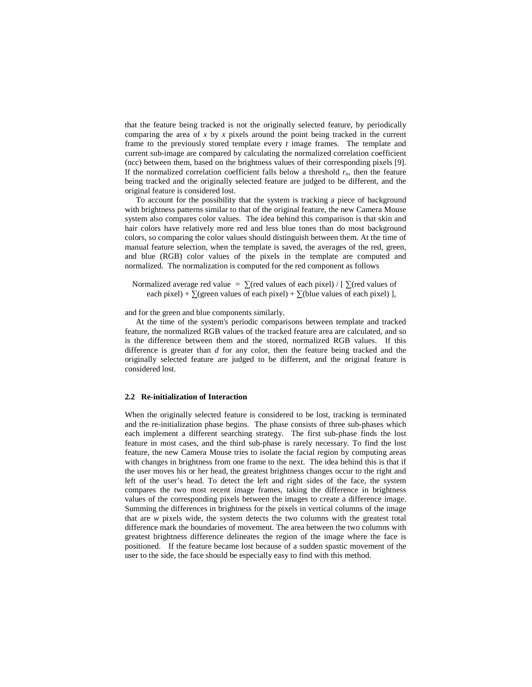that the feature being tracked is not the originally selected feature, by periodically comparing the area of *x* by *x* pixels around the point being tracked in the current frame to the previously stored template every *t* image frames. The template and current sub-image are compared by calculating the normalized correlation coefficient (ncc) between them, based on the brightness values of their corresponding pixels [9]. If the normalized correlation coefficient falls below a threshold  $r_n$ , then the feature being tracked and the originally selected feature are judged to be different, and the original feature is considered lost.

To account for the possibility that the system is tracking a piece of background with brightness patterns similar to that of the original feature, the new Camera Mouse system also compares color values. The idea behind this comparison is that skin and hair colors have relatively more red and less blue tones than do most background colors, so comparing the color values should distinguish between them. At the time of manual feature selection, when the template is saved, the averages of the red, green, and blue (RGB) color values of the pixels in the template are computed and normalized. The normalization is computed for the red component as follows

Normalized average red value =  $\sum$ (red values of each pixel) / [ $\sum$ (red values of each pixel) +  $\sum$ (green values of each pixel) +  $\sum$ (blue values of each pixel) ],

and for the green and blue components similarly.

At the time of the system's periodic comparisons between template and tracked feature, the normalized RGB values of the tracked feature area are calculated, and so is the difference between them and the stored, normalized RGB values. If this difference is greater than *d* for any color, then the feature being tracked and the originally selected feature are judged to be different, and the original feature is considered lost.

### **2.2 Re-initialization of Interaction**

When the originally selected feature is considered to be lost, tracking is terminated and the re-initialization phase begins. The phase consists of three sub-phases which each implement a different searching strategy. The first sub-phase finds the lost feature in most cases, and the third sub-phase is rarely necessary. To find the lost feature, the new Camera Mouse tries to isolate the facial region by computing areas with changes in brightness from one frame to the next. The idea behind this is that if the user moves his or her head, the greatest brightness changes occur to the right and left of the user's head. To detect the left and right sides of the face, the system compares the two most recent image frames, taking the difference in brightness values of the corresponding pixels between the images to create a difference image. Summing the differences in brightness for the pixels in vertical columns of the image that are *w* pixels wide, the system detects the two columns with the greatest total difference mark the boundaries of movement. The area between the two columns with greatest brightness difference delineates the region of the image where the face is positioned. If the feature became lost because of a sudden spastic movement of the user to the side, the face should be especially easy to find with this method.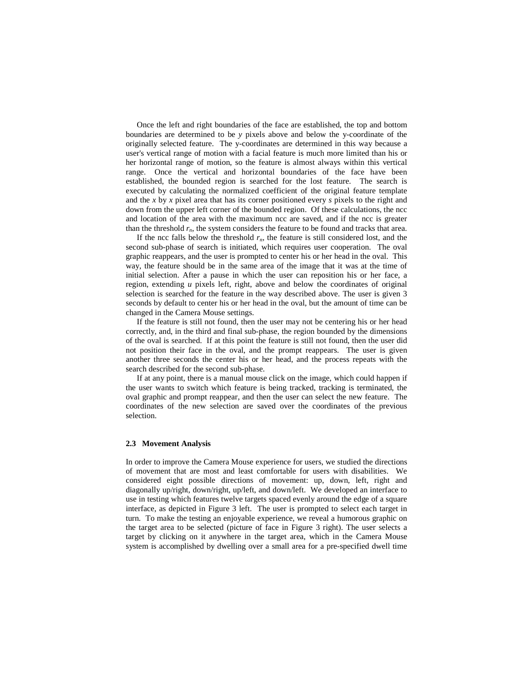Once the left and right boundaries of the face are established, the top and bottom boundaries are determined to be *y* pixels above and below the y-coordinate of the originally selected feature. The y-coordinates are determined in this way because a user's vertical range of motion with a facial feature is much more limited than his or her horizontal range of motion, so the feature is almost always within this vertical range. Once the vertical and horizontal boundaries of the face have been established, the bounded region is searched for the lost feature. The search is executed by calculating the normalized coefficient of the original feature template and the *x* by *x* pixel area that has its corner positioned every *s* pixels to the right and down from the upper left corner of the bounded region. Of these calculations, the ncc and location of the area with the maximum ncc are saved, and if the ncc is greater than the threshold  $r_n$ , the system considers the feature to be found and tracks that area.

If the ncc falls below the threshold  $r_n$ , the feature is still considered lost, and the second sub-phase of search is initiated, which requires user cooperation. The oval graphic reappears, and the user is prompted to center his or her head in the oval. This way, the feature should be in the same area of the image that it was at the time of initial selection. After a pause in which the user can reposition his or her face, a region, extending *u* pixels left, right, above and below the coordinates of original selection is searched for the feature in the way described above. The user is given 3 seconds by default to center his or her head in the oval, but the amount of time can be changed in the Camera Mouse settings.

If the feature is still not found, then the user may not be centering his or her head correctly, and, in the third and final sub-phase, the region bounded by the dimensions of the oval is searched. If at this point the feature is still not found, then the user did not position their face in the oval, and the prompt reappears. The user is given another three seconds the center his or her head, and the process repeats with the search described for the second sub-phase.

If at any point, there is a manual mouse click on the image, which could happen if the user wants to switch which feature is being tracked, tracking is terminated, the oval graphic and prompt reappear, and then the user can select the new feature. The coordinates of the new selection are saved over the coordinates of the previous selection.

#### **2.3 Movement Analysis**

In order to improve the Camera Mouse experience for users, we studied the directions of movement that are most and least comfortable for users with disabilities. We considered eight possible directions of movement: up, down, left, right and diagonally up/right, down/right, up/left, and down/left. We developed an interface to use in testing which features twelve targets spaced evenly around the edge of a square interface, as depicted in Figure 3 left. The user is prompted to select each target in turn. To make the testing an enjoyable experience, we reveal a humorous graphic on the target area to be selected (picture of face in Figure 3 right). The user selects a target by clicking on it anywhere in the target area, which in the Camera Mouse system is accomplished by dwelling over a small area for a pre-specified dwell time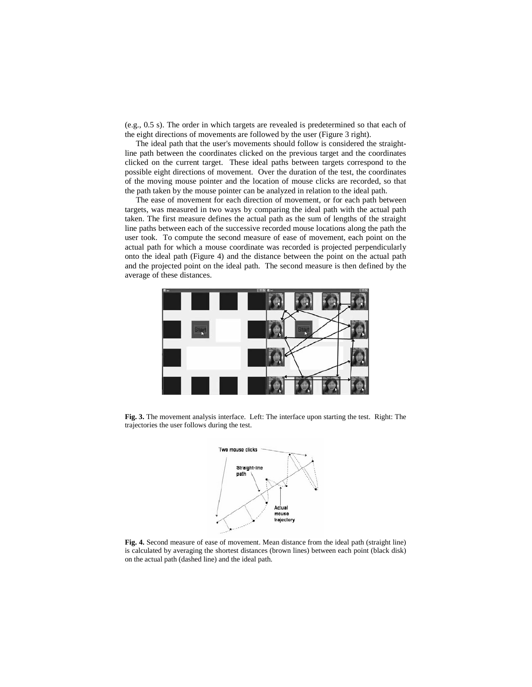(e.g., 0.5 s). The order in which targets are revealed is predetermined so that each of the eight directions of movements are followed by the user (Figure 3 right).

The ideal path that the user's movements should follow is considered the straightline path between the coordinates clicked on the previous target and the coordinates clicked on the current target. These ideal paths between targets correspond to the possible eight directions of movement. Over the duration of the test, the coordinates of the moving mouse pointer and the location of mouse clicks are recorded, so that the path taken by the mouse pointer can be analyzed in relation to the ideal path.

The ease of movement for each direction of movement, or for each path between targets, was measured in two ways by comparing the ideal path with the actual path taken. The first measure defines the actual path as the sum of lengths of the straight line paths between each of the successive recorded mouse locations along the path the user took. To compute the second measure of ease of movement, each point on the actual path for which a mouse coordinate was recorded is projected perpendicularly onto the ideal path (Figure 4) and the distance between the point on the actual path and the projected point on the ideal path. The second measure is then defined by the average of these distances.



**Fig. 3.** The movement analysis interface. Left: The interface upon starting the test. Right: The trajectories the user follows during the test.



**Fig. 4.** Second measure of ease of movement. Mean distance from the ideal path (straight line) is calculated by averaging the shortest distances (brown lines) between each point (black disk) on the actual path (dashed line) and the ideal path.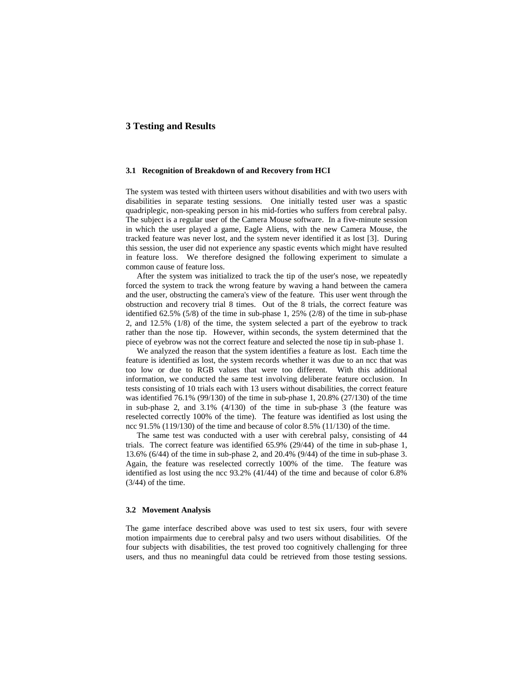# **3 Testing and Results**

### **3.1 Recognition of Breakdown of and Recovery from HCI**

The system was tested with thirteen users without disabilities and with two users with disabilities in separate testing sessions. One initially tested user was a spastic quadriplegic, non-speaking person in his mid-forties who suffers from cerebral palsy. The subject is a regular user of the Camera Mouse software. In a five-minute session in which the user played a game, Eagle Aliens, with the new Camera Mouse, the tracked feature was never lost, and the system never identified it as lost [3]. During this session, the user did not experience any spastic events which might have resulted in feature loss. We therefore designed the following experiment to simulate a common cause of feature loss.

After the system was initialized to track the tip of the user's nose, we repeatedly forced the system to track the wrong feature by waving a hand between the camera and the user, obstructing the camera's view of the feature. This user went through the obstruction and recovery trial 8 times. Out of the 8 trials, the correct feature was identified  $62.5\%$   $(5/8)$  of the time in sub-phase 1,  $25\%$   $(2/8)$  of the time in sub-phase 2, and 12.5% (1/8) of the time, the system selected a part of the eyebrow to track rather than the nose tip. However, within seconds, the system determined that the piece of eyebrow was not the correct feature and selected the nose tip in sub-phase 1.

We analyzed the reason that the system identifies a feature as lost. Each time the feature is identified as lost, the system records whether it was due to an ncc that was too low or due to RGB values that were too different. With this additional information, we conducted the same test involving deliberate feature occlusion. In tests consisting of 10 trials each with 13 users without disabilities, the correct feature was identified 76.1% (99/130) of the time in sub-phase 1, 20.8% (27/130) of the time in sub-phase 2, and 3.1% (4/130) of the time in sub-phase 3 (the feature was reselected correctly 100% of the time). The feature was identified as lost using the ncc 91.5% (119/130) of the time and because of color 8.5% (11/130) of the time.

The same test was conducted with a user with cerebral palsy, consisting of 44 trials. The correct feature was identified 65.9% (29/44) of the time in sub-phase 1, 13.6% (6/44) of the time in sub-phase 2, and 20.4% (9/44) of the time in sub-phase 3. Again, the feature was reselected correctly 100% of the time. The feature was identified as lost using the ncc 93.2% (41/44) of the time and because of color 6.8%  $(3/44)$  of the time.

#### **3.2 Movement Analysis**

The game interface described above was used to test six users, four with severe motion impairments due to cerebral palsy and two users without disabilities. Of the four subjects with disabilities, the test proved too cognitively challenging for three users, and thus no meaningful data could be retrieved from those testing sessions.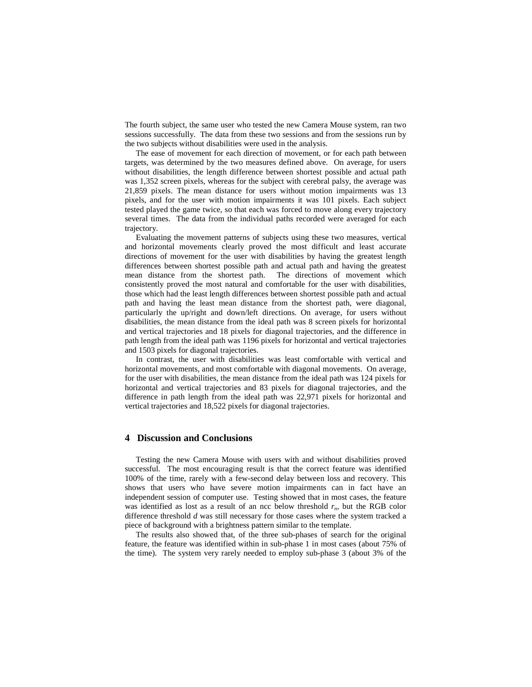The fourth subject, the same user who tested the new Camera Mouse system, ran two sessions successfully. The data from these two sessions and from the sessions run by the two subjects without disabilities were used in the analysis.

The ease of movement for each direction of movement, or for each path between targets, was determined by the two measures defined above. On average, for users without disabilities, the length difference between shortest possible and actual path was 1,352 screen pixels, whereas for the subject with cerebral palsy, the average was 21,859 pixels. The mean distance for users without motion impairments was 13 pixels, and for the user with motion impairments it was 101 pixels. Each subject tested played the game twice, so that each was forced to move along every trajectory several times. The data from the individual paths recorded were averaged for each trajectory.

Evaluating the movement patterns of subjects using these two measures, vertical and horizontal movements clearly proved the most difficult and least accurate directions of movement for the user with disabilities by having the greatest length differences between shortest possible path and actual path and having the greatest mean distance from the shortest path. The directions of movement which consistently proved the most natural and comfortable for the user with disabilities, those which had the least length differences between shortest possible path and actual path and having the least mean distance from the shortest path, were diagonal, particularly the up/right and down/left directions. On average, for users without disabilities, the mean distance from the ideal path was 8 screen pixels for horizontal and vertical trajectories and 18 pixels for diagonal trajectories, and the difference in path length from the ideal path was 1196 pixels for horizontal and vertical trajectories and 1503 pixels for diagonal trajectories.

In contrast, the user with disabilities was least comfortable with vertical and horizontal movements, and most comfortable with diagonal movements. On average, for the user with disabilities, the mean distance from the ideal path was 124 pixels for horizontal and vertical trajectories and 83 pixels for diagonal trajectories, and the difference in path length from the ideal path was 22,971 pixels for horizontal and vertical trajectories and 18,522 pixels for diagonal trajectories.

# **4 Discussion and Conclusions**

Testing the new Camera Mouse with users with and without disabilities proved successful. The most encouraging result is that the correct feature was identified 100% of the time, rarely with a few-second delay between loss and recovery. This shows that users who have severe motion impairments can in fact have an independent session of computer use. Testing showed that in most cases, the feature was identified as lost as a result of an ncc below threshold  $r_n$ , but the RGB color difference threshold *d* was still necessary for those cases where the system tracked a piece of background with a brightness pattern similar to the template.

The results also showed that, of the three sub-phases of search for the original feature, the feature was identified within in sub-phase 1 in most cases (about 75% of the time). The system very rarely needed to employ sub-phase 3 (about 3% of the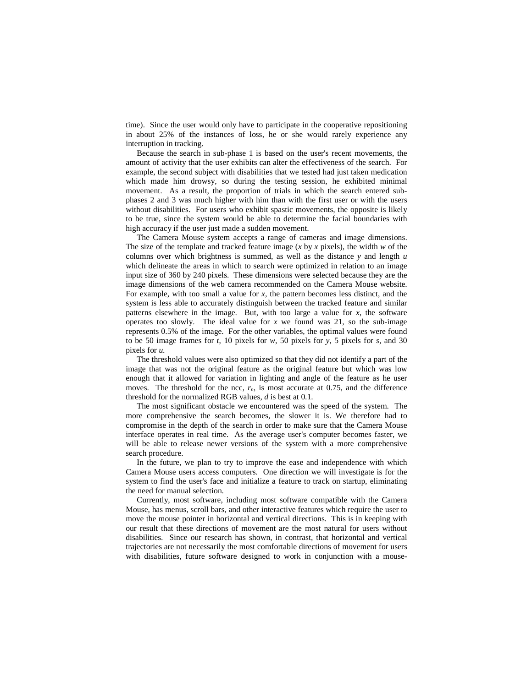time). Since the user would only have to participate in the cooperative repositioning in about 25% of the instances of loss, he or she would rarely experience any interruption in tracking.

Because the search in sub-phase 1 is based on the user's recent movements, the amount of activity that the user exhibits can alter the effectiveness of the search. For example, the second subject with disabilities that we tested had just taken medication which made him drowsy, so during the testing session, he exhibited minimal movement. As a result, the proportion of trials in which the search entered subphases 2 and 3 was much higher with him than with the first user or with the users without disabilities. For users who exhibit spastic movements, the opposite is likely to be true, since the system would be able to determine the facial boundaries with high accuracy if the user just made a sudden movement.

The Camera Mouse system accepts a range of cameras and image dimensions. The size of the template and tracked feature image (*x* by *x* pixels), the width *w* of the columns over which brightness is summed, as well as the distance *y* and length *u* which delineate the areas in which to search were optimized in relation to an image input size of 360 by 240 pixels. These dimensions were selected because they are the image dimensions of the web camera recommended on the Camera Mouse website. For example, with too small a value for *x*, the pattern becomes less distinct, and the system is less able to accurately distinguish between the tracked feature and similar patterns elsewhere in the image. But, with too large a value for *x*, the software operates too slowly. The ideal value for  $x$  we found was 21, so the sub-image represents 0.5% of the image. For the other variables, the optimal values were found to be 50 image frames for *t*, 10 pixels for *w*, 50 pixels for *y*, 5 pixels for *s*, and 30 pixels for *u*.

The threshold values were also optimized so that they did not identify a part of the image that was not the original feature as the original feature but which was low enough that it allowed for variation in lighting and angle of the feature as he user moves. The threshold for the ncc,  $r_n$ , is most accurate at 0.75, and the difference threshold for the normalized RGB values, *d* is best at 0.1.

The most significant obstacle we encountered was the speed of the system. The more comprehensive the search becomes, the slower it is. We therefore had to compromise in the depth of the search in order to make sure that the Camera Mouse interface operates in real time. As the average user's computer becomes faster, we will be able to release newer versions of the system with a more comprehensive search procedure.

In the future, we plan to try to improve the ease and independence with which Camera Mouse users access computers. One direction we will investigate is for the system to find the user's face and initialize a feature to track on startup, eliminating the need for manual selection.

Currently, most software, including most software compatible with the Camera Mouse, has menus, scroll bars, and other interactive features which require the user to move the mouse pointer in horizontal and vertical directions. This is in keeping with our result that these directions of movement are the most natural for users without disabilities. Since our research has shown, in contrast, that horizontal and vertical trajectories are not necessarily the most comfortable directions of movement for users with disabilities, future software designed to work in conjunction with a mouse